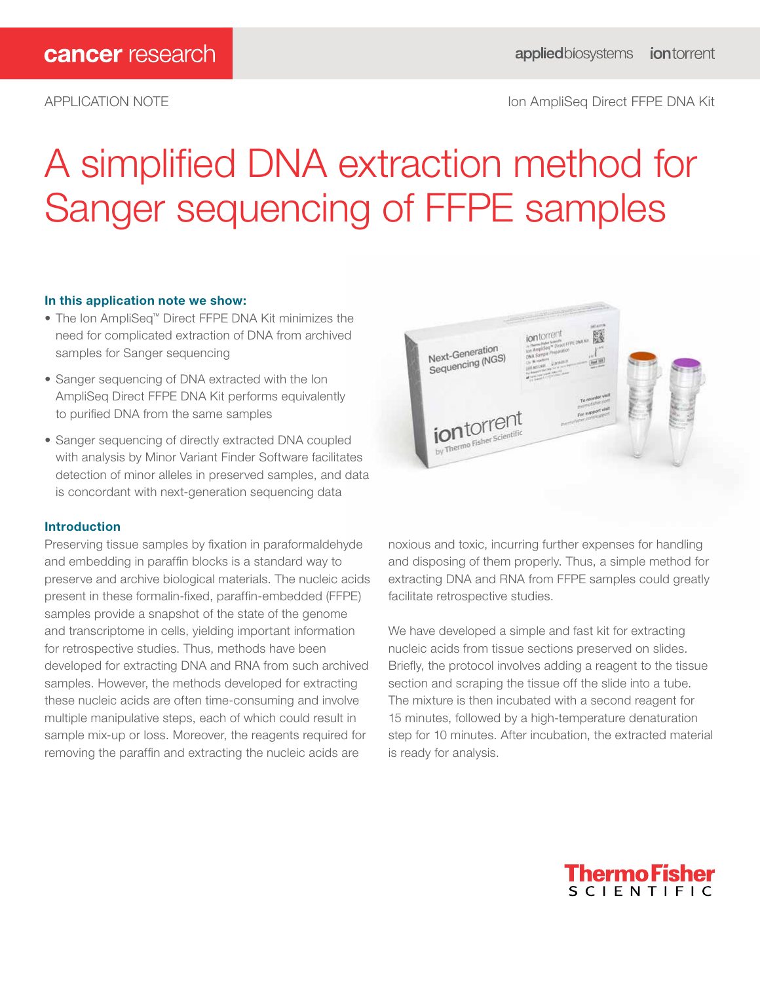# APPLICATION NOTE **Internal and the Contract of Contract Ampliser** Section AmpliSeq Direct FFPE DNA Kit

# A simplified DNA extraction method for Sanger sequencing of FFPE samples

# In this application note we show:

- The Ion AmpliSeq™ Direct FFPE DNA Kit minimizes the need for complicated extraction of DNA from archived samples for Sanger sequencing
- Sanger sequencing of DNA extracted with the Ion AmpliSeq Direct FFPE DNA Kit performs equivalently to purified DNA from the same samples
- Sanger sequencing of directly extracted DNA coupled with analysis by Minor Variant Finder Software facilitates detection of minor alleles in preserved samples, and data is concordant with next-generation sequencing data

# Introduction

Preserving tissue samples by fixation in paraformaldehyde and embedding in paraffin blocks is a standard way to preserve and archive biological materials. The nucleic acids present in these formalin-fixed, paraffin-embedded (FFPE) samples provide a snapshot of the state of the genome and transcriptome in cells, yielding important information for retrospective studies. Thus, methods have been developed for extracting DNA and RNA from such archived samples. However, the methods developed for extracting these nucleic acids are often time-consuming and involve multiple manipulative steps, each of which could result in sample mix-up or loss. Moreover, the reagents required for removing the paraffin and extracting the nucleic acids are



noxious and toxic, incurring further expenses for handling and disposing of them properly. Thus, a simple method for extracting DNA and RNA from FFPE samples could greatly facilitate retrospective studies.

We have developed a simple and fast kit for extracting nucleic acids from tissue sections preserved on slides. Briefly, the protocol involves adding a reagent to the tissue section and scraping the tissue off the slide into a tube. The mixture is then incubated with a second reagent for 15 minutes, followed by a high-temperature denaturation step for 10 minutes. After incubation, the extracted material is ready for analysis.

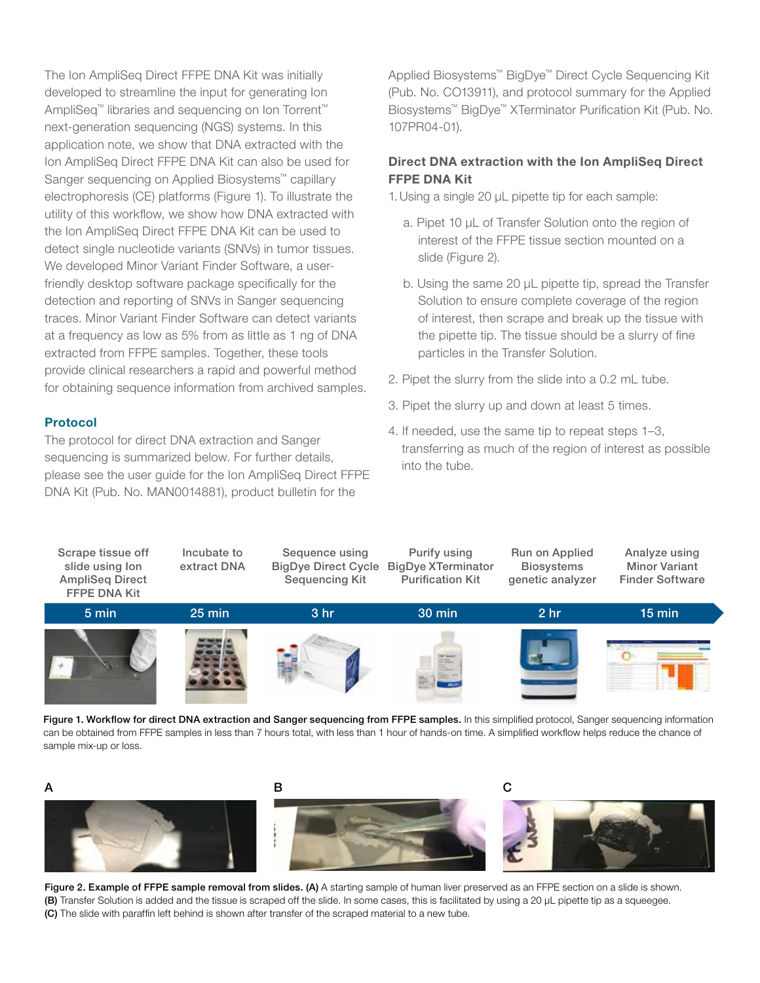The Ion AmpliSeq Direct FFPE DNA Kit was initially developed to streamline the input for generating Ion AmpliSeq™ libraries and sequencing on Ion Torrent™ next-generation sequencing (NGS) systems. In this application note, we show that DNA extracted with the Ion AmpliSeq Direct FFPE DNA Kit can also be used for Sanger sequencing on Applied Biosystems™ capillary electrophoresis (CE) platforms (Figure 1). To illustrate the utility of this workflow, we show how DNA extracted with the Ion AmpliSeq Direct FFPE DNA Kit can be used to detect single nucleotide variants (SNVs) in tumor tissues. We developed Minor Variant Finder Software, a userfriendly desktop software package specifically for the detection and reporting of SNVs in Sanger sequencing traces. Minor Variant Finder Software can detect variants at a frequency as low as 5% from as little as 1 ng of DNA extracted from FFPE samples. Together, these tools provide clinical researchers a rapid and powerful method for obtaining sequence information from archived samples.

# Protocol

The protocol for direct DNA extraction and Sanger sequencing is summarized below. For further details, please see the user guide for the Ion AmpliSeq Direct FFPE DNA Kit (Pub. No. MAN0014881), product bulletin for the

Applied Biosystems™ BigDye™ Direct Cycle Sequencing Kit (Pub. No. CO13911), and protocol summary for the Applied Biosystems™ BigDye™ XTerminator Purification Kit (Pub. No. 107PR04-01).

# Direct DNA extraction with the Ion AmpliSeq Direct FFPE DNA Kit

1.Using a single 20 μL pipette tip for each sample:

- a. Pipet 10 μL of Transfer Solution onto the region of interest of the FFPE tissue section mounted on a slide (Figure 2).
- b. Using the same 20 μL pipette tip, spread the Transfer Solution to ensure complete coverage of the region of interest, then scrape and break up the tissue with the pipette tip. The tissue should be a slurry of fine particles in the Transfer Solution.
- 2. Pipet the slurry from the slide into a 0.2 mL tube.
- 3. Pipet the slurry up and down at least 5 times.
- 4. If needed, use the same tip to repeat steps 1–3, transferring as much of the region of interest as possible into the tube.







Figure 2. Example of FFPE sample removal from slides. (A) A starting sample of human liver preserved as an FFPE section on a slide is shown. (B) Transfer Solution is added and the tissue is scraped off the slide. In some cases, this is facilitated by using a 20 μL pipette tip as a squeegee. (C) The slide with paraffin left behind is shown after transfer of the scraped material to a new tube.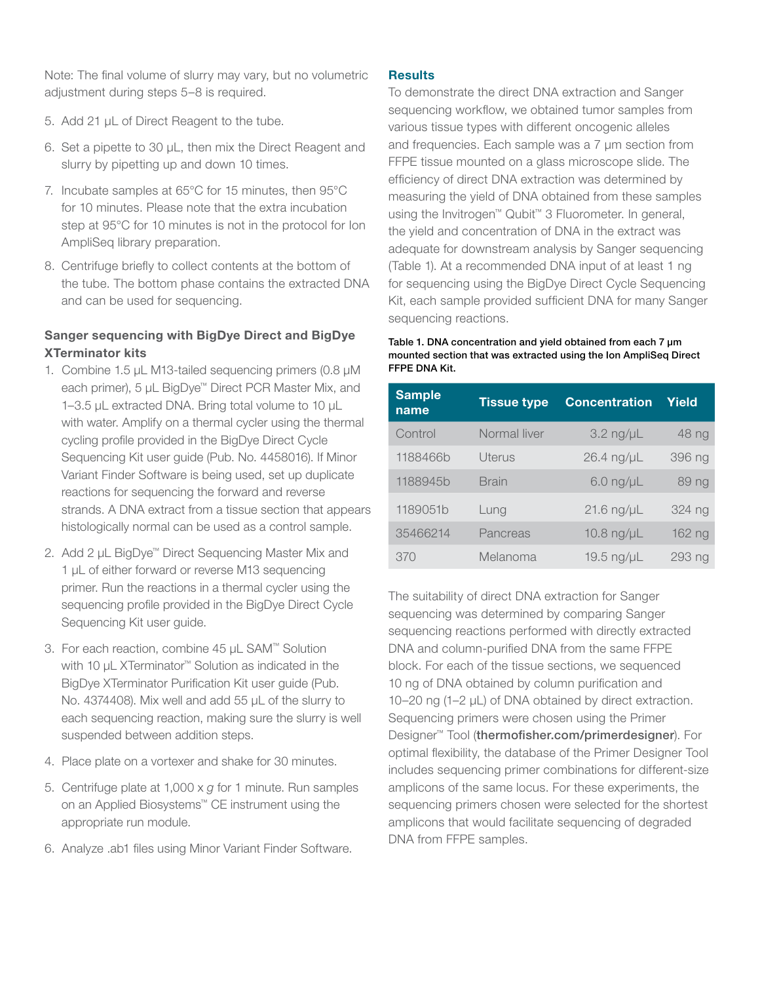Note: The final volume of slurry may vary, but no volumetric adjustment during steps 5–8 is required.

- 5. Add 21 μL of Direct Reagent to the tube.
- 6. Set a pipette to 30 μL, then mix the Direct Reagent and slurry by pipetting up and down 10 times.
- 7. Incubate samples at 65°C for 15 minutes, then 95°C for 10 minutes. Please note that the extra incubation step at 95°C for 10 minutes is not in the protocol for Ion AmpliSeq library preparation.
- 8. Centrifuge briefly to collect contents at the bottom of the tube. The bottom phase contains the extracted DNA and can be used for sequencing.

# Sanger sequencing with BigDye Direct and BigDye XTerminator kits

- 1. Combine 1.5 µL M13-tailed sequencing primers (0.8 µM each primer), 5 µL BigDye<sup>™</sup> Direct PCR Master Mix, and 1–3.5 µL extracted DNA. Bring total volume to 10 µL with water. Amplify on a thermal cycler using the thermal cycling profile provided in the BigDye Direct Cycle Sequencing Kit user guide (Pub. No. 4458016). If Minor Variant Finder Software is being used, set up duplicate reactions for sequencing the forward and reverse strands. A DNA extract from a tissue section that appears histologically normal can be used as a control sample.
- 2. Add 2 µL BigDye<sup>™</sup> Direct Sequencing Master Mix and 1 µL of either forward or reverse M13 sequencing primer. Run the reactions in a thermal cycler using the sequencing profile provided in the BigDye Direct Cycle Sequencing Kit user guide.
- 3. For each reaction, combine 45 µL SAM™ Solution with 10 µL XTerminator<sup>™</sup> Solution as indicated in the BigDye XTerminator Purification Kit user guide (Pub. No. 4374408). Mix well and add 55 µL of the slurry to each sequencing reaction, making sure the slurry is well suspended between addition steps.
- 4. Place plate on a vortexer and shake for 30 minutes.
- 5. Centrifuge plate at 1,000 x *g* for 1 minute. Run samples on an Applied Biosystems™ CE instrument using the appropriate run module.
- 6. Analyze .ab1 files using Minor Variant Finder Software.

# **Results**

To demonstrate the direct DNA extraction and Sanger sequencing workflow, we obtained tumor samples from various tissue types with different oncogenic alleles and frequencies. Each sample was a 7 µm section from FFPE tissue mounted on a glass microscope slide. The efficiency of direct DNA extraction was determined by measuring the yield of DNA obtained from these samples using the Invitrogen™ Qubit™ 3 Fluorometer. In general, the yield and concentration of DNA in the extract was adequate for downstream analysis by Sanger sequencing (Table 1). At a recommended DNA input of at least 1 ng for sequencing using the BigDye Direct Cycle Sequencing Kit, each sample provided sufficient DNA for many Sanger sequencing reactions.

Table 1. DNA concentration and yield obtained from each 7  $\mu$ m mounted section that was extracted using the Ion AmpliSeq Direct FFPE DNA Kit.

| <b>Sample</b><br>name | <b>Tissue type</b> | <b>Concentration</b> | Yield  |
|-----------------------|--------------------|----------------------|--------|
| Control               | Normal liver       | $3.2$ ng/ $\mu$ L    | 48 ng  |
| 1188466b              | Uterus             | 26.4 ng/µL           | 396 ng |
| 1188945b              | <b>Brain</b>       | $6.0$ ng/ $\mu$ L    | 89 ng  |
| 1189051b              | Lung               | $21.6$ ng/ $\mu$ L   | 324 ng |
| 35466214              | Pancreas           | 10.8 ng/µL           | 162 ng |
| 370                   | Melanoma           | 19.5 ng/µL           | 293 ng |

The suitability of direct DNA extraction for Sanger sequencing was determined by comparing Sanger sequencing reactions performed with directly extracted DNA and column-purified DNA from the same FFPE block. For each of the tissue sections, we sequenced 10 ng of DNA obtained by column purification and 10–20 ng (1–2 µL) of DNA obtained by direct extraction. Sequencing primers were chosen using the Primer Designer™ Tool (thermofisher.com/primerdesigner). For optimal flexibility, the database of the Primer Designer Tool includes sequencing primer combinations for different-size amplicons of the same locus. For these experiments, the sequencing primers chosen were selected for the shortest amplicons that would facilitate sequencing of degraded DNA from FFPE samples.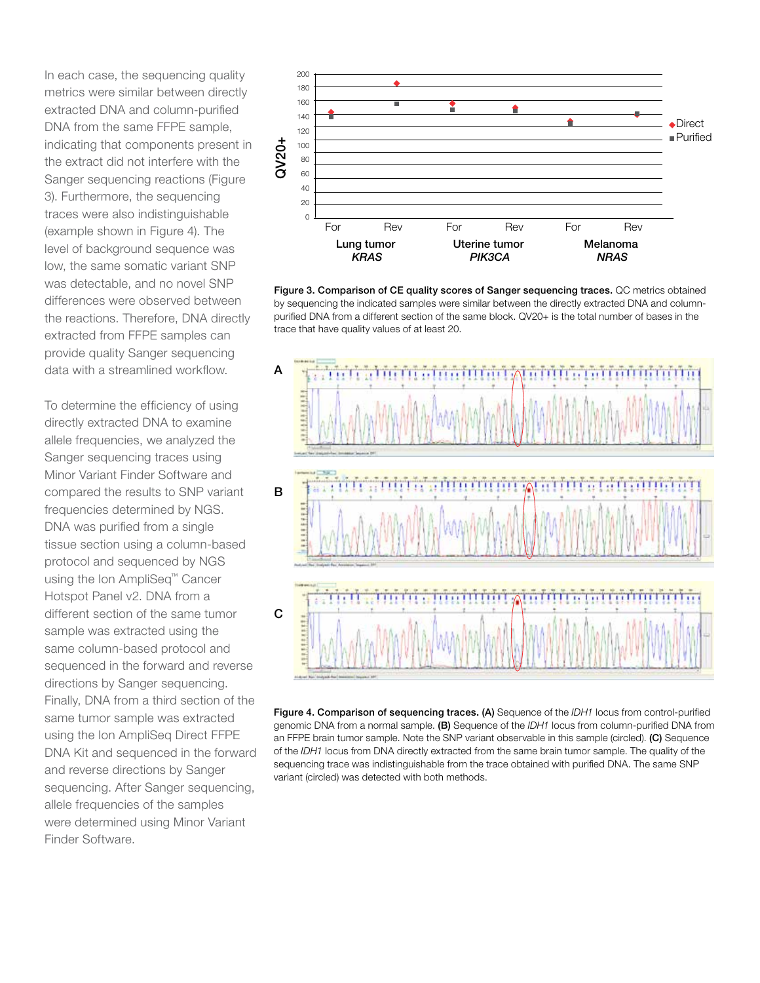In each case, the sequencing quality metrics were similar between directly extracted DNA and column-purified DNA from the same FFPE sample, indicating that components present in the extract did not interfere with the Sanger sequencing reactions (Figure 3). Furthermore, the sequencing traces were also indistinguishable (example shown in Figure 4). The level of background sequence was low, the same somatic variant SNP was detectable, and no novel SNP differences were observed between the reactions. Therefore, DNA directly extracted from FFPE samples can provide quality Sanger sequencing data with a streamlined workflow.

To determine the efficiency of using directly extracted DNA to examine allele frequencies, we analyzed the Sanger sequencing traces using Minor Variant Finder Software and compared the results to SNP variant frequencies determined by NGS. DNA was purified from a single tissue section using a column-based protocol and sequenced by NGS using the Ion AmpliSeq™ Cancer Hotspot Panel v2. DNA from a different section of the same tumor sample was extracted using the same column-based protocol and sequenced in the forward and reverse directions by Sanger sequencing. Finally, DNA from a third section of the same tumor sample was extracted using the Ion AmpliSeq Direct FFPE DNA Kit and sequenced in the forward and reverse directions by Sanger sequencing. After Sanger sequencing, allele frequencies of the samples were determined using Minor Variant Finder Software.



Figure 3. Comparison of CE quality scores of Sanger sequencing traces. QC metrics obtained by sequencing the indicated samples were similar between the directly extracted DNA and columnpurified DNA from a different section of the same block. QV20+ is the total number of bases in the trace that have quality values of at least 20.



Figure 4. Comparison of sequencing traces. (A) Sequence of the *IDH1* locus from control-purified genomic DNA from a normal sample. (B) Sequence of the *IDH1* locus from column-purified DNA from an FFPE brain tumor sample. Note the SNP variant observable in this sample (circled). (C) Sequence of the *IDH1* locus from DNA directly extracted from the same brain tumor sample. The quality of the sequencing trace was indistinguishable from the trace obtained with purified DNA. The same SNP variant (circled) was detected with both methods.